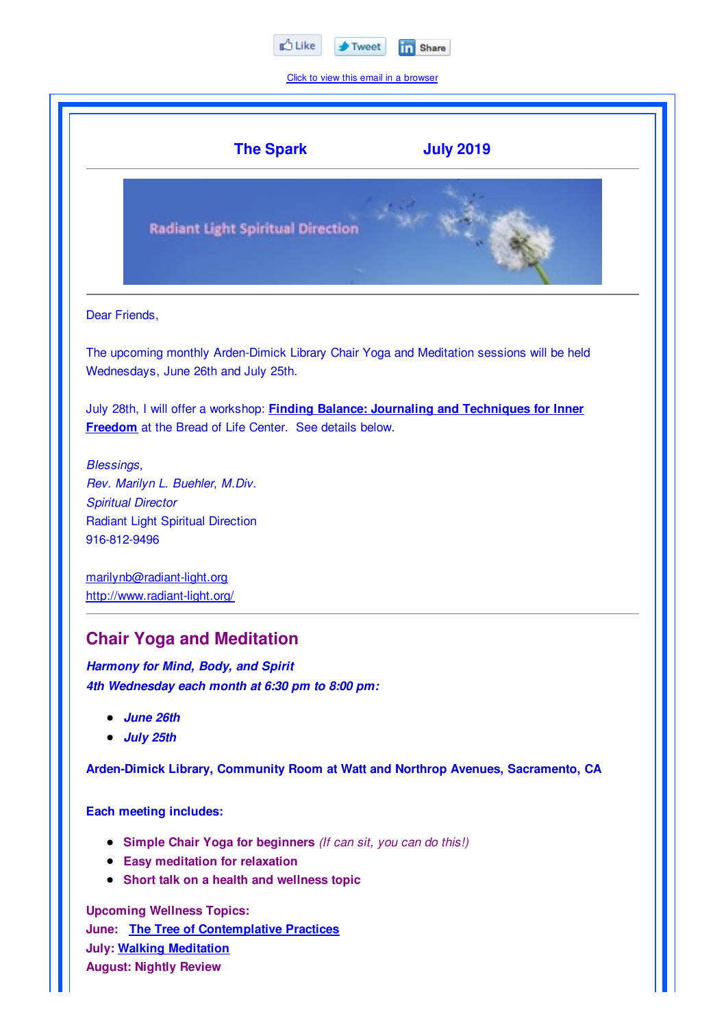

Click to view this email in a browser

|                            | <b>The Spark</b><br><b>July 2019</b>                                                                                                                       |
|----------------------------|------------------------------------------------------------------------------------------------------------------------------------------------------------|
|                            | <b>Radiant Light Spiritual Direction</b>                                                                                                                   |
| Dear Friends,              |                                                                                                                                                            |
|                            | The upcoming monthly Arden-Dimick Library Chair Yoga and Meditation sessions will be held<br>Wednesdays, June 26th and July 25th.                          |
|                            | July 28th, I will offer a workshop: <b>Finding Balance: Journaling and Techniques for Inner</b><br>Freedom at the Bread of Life Center. See details below. |
| Blessings,<br>916-812-9496 | Rev. Marilyn L. Buehler, M.Div.<br><b>Spiritual Director</b><br><b>Radiant Light Spiritual Direction</b>                                                   |
|                            | marilynb@radiant-light.org<br>http://www.radiant-light.org/                                                                                                |
|                            | <b>Chair Yoga and Meditation</b>                                                                                                                           |
|                            | Harmony for Mind, Body, and Spirit<br>4th Wednesday each month at 6:30 pm to 8:00 pm:                                                                      |
|                            | • June 26th<br><b>July 25th</b>                                                                                                                            |
|                            | Arden-Dimick Library, Community Room at Watt and Northrop Avenues, Sacramento, CA                                                                          |
|                            | <b>Each meeting includes:</b>                                                                                                                              |
|                            | • Simple Chair Yoga for beginners (If can sit, you can do this!)                                                                                           |

- **Easy meditation for relaxation**
- **Short talk on a health and wellness topic**

**Upcoming Wellness Topics: June: The Tree of Contemplative Practices July: Walking Meditation August: Nightly Review**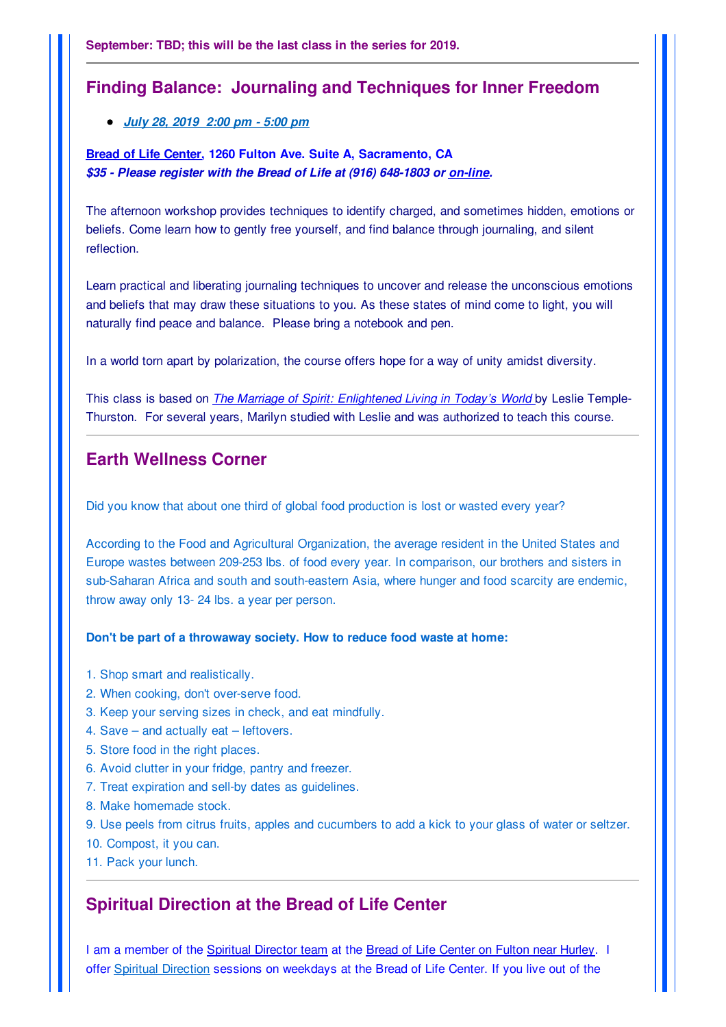### **Finding Balance: Journaling and Techniques for Inner Freedom**

#### *July 28, 2019 2:00 pm - 5:00 pm*

#### **Bread of Life Center, 1260 Fulton Ave. Suite A, Sacramento, CA** *\$35 - Please register with the Bread of Life at (916) 648-1803 or on-line.*

The afternoon workshop provides techniques to identify charged, and sometimes hidden, emotions or beliefs. Come learn how to gently free yourself, and find balance through journaling, and silent reflection.

Learn practical and liberating journaling techniques to uncover and release the unconscious emotions and beliefs that may draw these situations to you. As these states of mind come to light, you will naturally find peace and balance. Please bring a notebook and pen.

In a world torn apart by polarization, the course offers hope for a way of unity amidst diversity.

This class is based on *The Marriage of Spirit: Enlightened Living in Today's World* by Leslie Temple-Thurston. For several years, Marilyn studied with Leslie and was authorized to teach this course.

## **Earth Wellness Corner**

Did you know that about one third of global food production is lost or wasted every year?

According to the Food and Agricultural Organization, the average resident in the United States and Europe wastes between 209-253 lbs. of food every year. In comparison, our brothers and sisters in sub-Saharan Africa and south and south-eastern Asia, where hunger and food scarcity are endemic, throw away only 13- 24 lbs. a year per person.

#### **Don't be part of a throwaway society. How to reduce food waste at home:**

- 1. Shop smart and realistically.
- 2. When cooking, don't over-serve food.
- 3. Keep your serving sizes in check, and eat mindfully.
- 4. Save and actually eat leftovers.
- 5. Store food in the right places.
- 6. Avoid clutter in your fridge, pantry and freezer.
- 7. Treat expiration and sell-by dates as guidelines.
- 8. Make homemade stock.
- 9. Use peels from citrus fruits, apples and cucumbers to add a kick to your glass of water or seltzer.
- 10. Compost, it you can.
- 11. Pack your lunch.

### **Spiritual Direction at the Bread of Life Center**

I am a member of the Spiritual Director team at the Bread of Life Center on Fulton near Hurley. I offer Spiritual Direction sessions on weekdays at the Bread of Life Center. If you live out of the